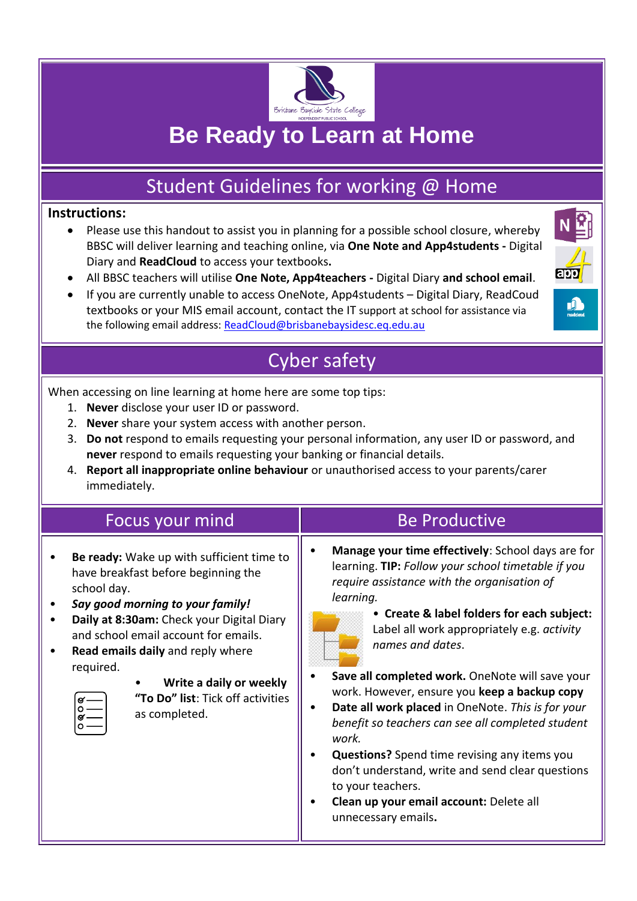

# **Be Ready to Learn at Home**

## Student Guidelines for working @ Home

#### **Instructions:**

- Please use this handout to assist you in planning for a possible school closure, whereby BBSC will deliver learning and teaching online, via **One Note and App4students -** Digital Diary and **ReadCloud** to access your textbooks**.**
- All BBSC teachers will utilise **One Note, App4teachers -** Digital Diary **and school email**.
- If you are currently unable to access OneNote, App4students Digital Diary, ReadCoud textbooks or your MIS email account, contact the IT support at school for assistance via the following email address: [ReadCloud@brisbanebaysidesc.eq.edu.au](mailto:ReadCloud@brisbanebaysidesc.eq.edu.au)



## Cyber safety

When accessing on line learning at home here are some top tips:

- 1. **Never** disclose your user ID or password.
- 2. **Never** share your system access with another person.
- 3. **Do not** respond to emails requesting your personal information, any user ID or password, and **never** respond to emails requesting your banking or financial details.
- 4. **Report all inappropriate online behaviour** or unauthorised access to your parents/carer immediately.

| Focus your mind                                                                                                                                                                                                                                                                                                                                             | <b>Be Productive</b>                                                                                                                                                                                                                                                                                                                                                                                                                                                                                                                                                                                                                                                                                        |
|-------------------------------------------------------------------------------------------------------------------------------------------------------------------------------------------------------------------------------------------------------------------------------------------------------------------------------------------------------------|-------------------------------------------------------------------------------------------------------------------------------------------------------------------------------------------------------------------------------------------------------------------------------------------------------------------------------------------------------------------------------------------------------------------------------------------------------------------------------------------------------------------------------------------------------------------------------------------------------------------------------------------------------------------------------------------------------------|
| Be ready: Wake up with sufficient time to<br>have breakfast before beginning the<br>school day.<br>Say good morning to your family!<br>Daily at 8:30am: Check your Digital Diary<br>and school email account for emails.<br>Read emails daily and reply where<br>required.<br>Write a daily or weekly<br>"To Do" list: Tick off activities<br>as completed. | Manage your time effectively: School days are for<br>learning. TIP: Follow your school timetable if you<br>require assistance with the organisation of<br>learning.<br>• Create & label folders for each subject:<br>Label all work appropriately e.g. activity<br>names and dates.<br>Save all completed work. OneNote will save your<br>work. However, ensure you keep a backup copy<br>Date all work placed in OneNote. This is for your<br>benefit so teachers can see all completed student<br>work.<br><b>Questions?</b> Spend time revising any items you<br>don't understand, write and send clear questions<br>to your teachers.<br>Clean up your email account: Delete all<br>unnecessary emails. |